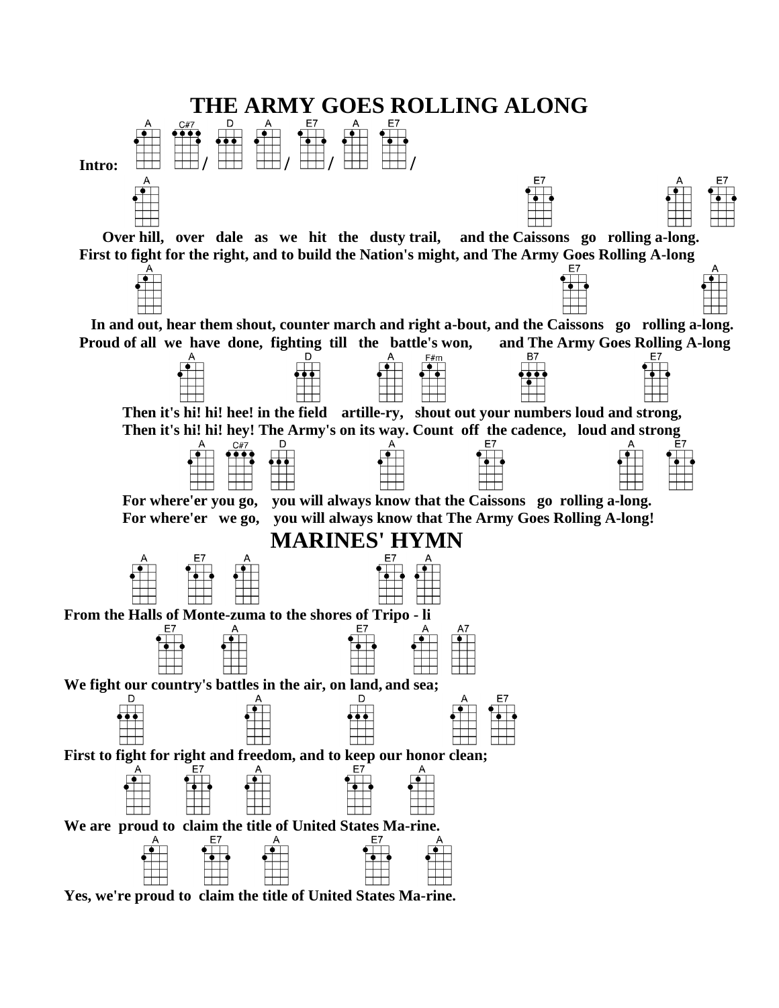

**Yes, we're proud to claim the title of United States Ma-rine.**